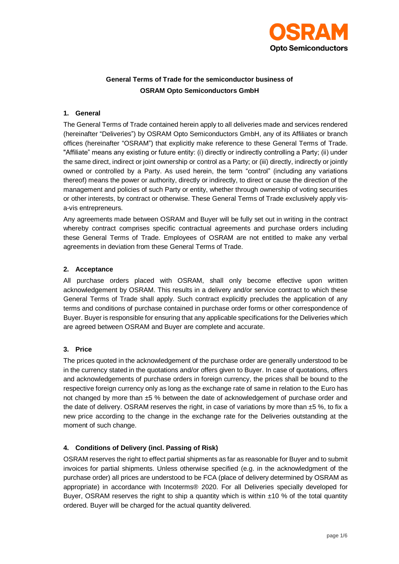

# **General Terms of Trade for the semiconductor business of OSRAM Opto Semiconductors GmbH**

### **1. General**

The General Terms of Trade contained herein apply to all deliveries made and services rendered (hereinafter "Deliveries") by OSRAM Opto Semiconductors GmbH, any of its Affiliates or branch offices (hereinafter "OSRAM") that explicitly make reference to these General Terms of Trade. "Affiliate" means any existing or future entity: (i) directly or indirectly controlling a Party; (ii) under the same direct, indirect or joint ownership or control as a Party; or (iii) directly, indirectly or jointly owned or controlled by a Party. As used herein, the term "control" (including any variations thereof) means the power or authority, directly or indirectly, to direct or cause the direction of the management and policies of such Party or entity, whether through ownership of voting securities or other interests, by contract or otherwise. These General Terms of Trade exclusively apply visa-vis entrepreneurs.

Any agreements made between OSRAM and Buyer will be fully set out in writing in the contract whereby contract comprises specific contractual agreements and purchase orders including these General Terms of Trade. Employees of OSRAM are not entitled to make any verbal agreements in deviation from these General Terms of Trade.

#### **2. Acceptance**

All purchase orders placed with OSRAM, shall only become effective upon written acknowledgement by OSRAM. This results in a delivery and/or service contract to which these General Terms of Trade shall apply. Such contract explicitly precludes the application of any terms and conditions of purchase contained in purchase order forms or other correspondence of Buyer. Buyer is responsible for ensuring that any applicable specifications for the Deliveries which are agreed between OSRAM and Buyer are complete and accurate.

# **3. Price**

The prices quoted in the acknowledgement of the purchase order are generally understood to be in the currency stated in the quotations and/or offers given to Buyer. In case of quotations, offers and acknowledgements of purchase orders in foreign currency, the prices shall be bound to the respective foreign currency only as long as the exchange rate of same in relation to the Euro has not changed by more than ±5 % between the date of acknowledgement of purchase order and the date of delivery. OSRAM reserves the right, in case of variations by more than  $±5$  %, to fix a new price according to the change in the exchange rate for the Deliveries outstanding at the moment of such change.

# **4. Conditions of Delivery (incl. Passing of Risk)**

OSRAM reserves the right to effect partial shipments as far as reasonable for Buyer and to submit invoices for partial shipments. Unless otherwise specified (e.g. in the acknowledgment of the purchase order) all prices are understood to be FCA (place of delivery determined by OSRAM as appropriate) in accordance with Incoterms® 2020. For all Deliveries specially developed for Buyer, OSRAM reserves the right to ship a quantity which is within  $\pm 10$  % of the total quantity ordered. Buyer will be charged for the actual quantity delivered.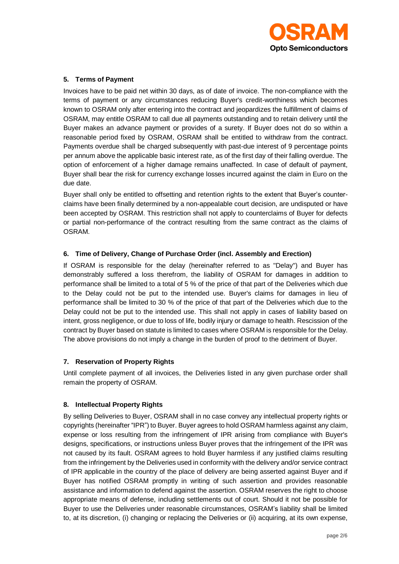

### **5. Terms of Payment**

Invoices have to be paid net within 30 days, as of date of invoice. The non-compliance with the terms of payment or any circumstances reducing Buyer's credit-worthiness which becomes known to OSRAM only after entering into the contract and jeopardizes the fulfillment of claims of OSRAM, may entitle OSRAM to call due all payments outstanding and to retain delivery until the Buyer makes an advance payment or provides of a surety. If Buyer does not do so within a reasonable period fixed by OSRAM, OSRAM shall be entitled to withdraw from the contract. Payments overdue shall be charged subsequently with past-due interest of 9 percentage points per annum above the applicable basic interest rate, as of the first day of their falling overdue. The option of enforcement of a higher damage remains unaffected. In case of default of payment, Buyer shall bear the risk for currency exchange losses incurred against the claim in Euro on the due date.

Buyer shall only be entitled to offsetting and retention rights to the extent that Buyer's counterclaims have been finally determined by a non-appealable court decision, are undisputed or have been accepted by OSRAM. This restriction shall not apply to counterclaims of Buyer for defects or partial non-performance of the contract resulting from the same contract as the claims of OSRAM.

### **6. Time of Delivery, Change of Purchase Order (incl. Assembly and Erection)**

If OSRAM is responsible for the delay (hereinafter referred to as "Delay") and Buyer has demonstrably suffered a loss therefrom, the liability of OSRAM for damages in addition to performance shall be limited to a total of 5 % of the price of that part of the Deliveries which due to the Delay could not be put to the intended use. Buyer's claims for damages in lieu of performance shall be limited to 30 % of the price of that part of the Deliveries which due to the Delay could not be put to the intended use. This shall not apply in cases of liability based on intent, gross negligence, or due to loss of life, bodily injury or damage to health. Rescission of the contract by Buyer based on statute is limited to cases where OSRAM is responsible for the Delay. The above provisions do not imply a change in the burden of proof to the detriment of Buyer.

# **7. Reservation of Property Rights**

Until complete payment of all invoices, the Deliveries listed in any given purchase order shall remain the property of OSRAM.

#### **8. Intellectual Property Rights**

By selling Deliveries to Buyer, OSRAM shall in no case convey any intellectual property rights or copyrights (hereinafter "IPR") to Buyer. Buyer agrees to hold OSRAM harmless against any claim, expense or loss resulting from the infringement of IPR arising from compliance with Buyer's designs, specifications, or instructions unless Buyer proves that the infringement of the IPR was not caused by its fault. OSRAM agrees to hold Buyer harmless if any justified claims resulting from the infringement by the Deliveries used in conformity with the delivery and/or service contract of IPR applicable in the country of the place of delivery are being asserted against Buyer and if Buyer has notified OSRAM promptly in writing of such assertion and provides reasonable assistance and information to defend against the assertion. OSRAM reserves the right to choose appropriate means of defense, including settlements out of court. Should it not be possible for Buyer to use the Deliveries under reasonable circumstances, OSRAM's liability shall be limited to, at its discretion, (i) changing or replacing the Deliveries or (ii) acquiring, at its own expense,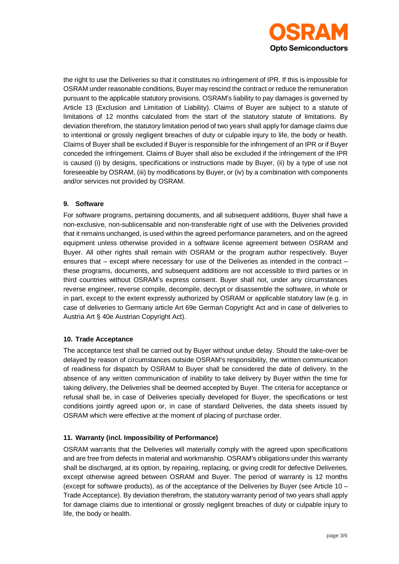

the right to use the Deliveries so that it constitutes no infringement of IPR. If this is impossible for OSRAM under reasonable conditions, Buyer may rescind the contract or reduce the remuneration pursuant to the applicable statutory provisions. OSRAM's liability to pay damages is governed by Article 13 (Exclusion and Limitation of Liability). Claims of Buyer are subject to a statute of limitations of 12 months calculated from the start of the statutory statute of limitations. By deviation therefrom, the statutory limitation period of two years shall apply for damage claims due to intentional or grossly negligent breaches of duty or culpable injury to life, the body or health. Claims of Buyer shall be excluded if Buyer is responsible for the infringement of an IPR or if Buyer conceded the infringement. Claims of Buyer shall also be excluded if the infringement of the IPR is caused (i) by designs, specifications or instructions made by Buyer, (ii) by a type of use not foreseeable by OSRAM, (iii) by modifications by Buyer, or (iv) by a combination with components and/or services not provided by OSRAM.

#### **9. Software**

For software programs, pertaining documents, and all subsequent additions, Buyer shall have a non-exclusive, non-sublicensable and non-transferable right of use with the Deliveries provided that it remains unchanged, is used within the agreed performance parameters, and on the agreed equipment unless otherwise provided in a software license agreement between OSRAM and Buyer. All other rights shall remain with OSRAM or the program author respectively. Buyer ensures that – except where necessary for use of the Deliveries as intended in the contract – these programs, documents, and subsequent additions are not accessible to third parties or in third countries without OSRAM's express consent. Buyer shall not, under any circumstances reverse engineer, reverse compile, decompile, decrypt or disassemble the software, in whole or in part, except to the extent expressly authorized by OSRAM or applicable statutory law (e.g. in case of deliveries to Germany article Art 69e German Copyright Act and in case of deliveries to Austria Art § 40e Austrian Copyright Act).

#### **10. Trade Acceptance**

The acceptance test shall be carried out by Buyer without undue delay. Should the take-over be delayed by reason of circumstances outside OSRAM's responsibility, the written communication of readiness for dispatch by OSRAM to Buyer shall be considered the date of delivery. In the absence of any written communication of inability to take delivery by Buyer within the time for taking delivery, the Deliveries shall be deemed accepted by Buyer. The criteria for acceptance or refusal shall be, in case of Deliveries specially developed for Buyer, the specifications or test conditions jointly agreed upon or, in case of standard Deliveries, the data sheets issued by OSRAM which were effective at the moment of placing of purchase order.

# **11. Warranty (incl. Impossibility of Performance)**

OSRAM warrants that the Deliveries will materially comply with the agreed upon specifications and are free from defects in material and workmanship. OSRAM's obligations under this warranty shall be discharged, at its option, by repairing, replacing, or giving credit for defective Deliveries, except otherwise agreed between OSRAM and Buyer. The period of warranty is 12 months (except for software products), as of the acceptance of the Deliveries by Buyer (see Article 10 – Trade Acceptance). By deviation therefrom, the statutory warranty period of two years shall apply for damage claims due to intentional or grossly negligent breaches of duty or culpable injury to life, the body or health.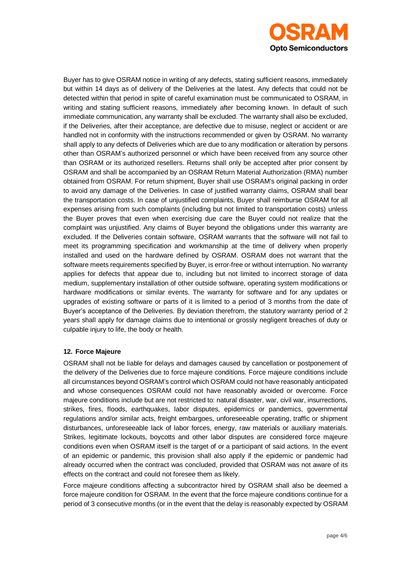

Buyer has to give OSRAM notice in writing of any defects, stating sufficient reasons, immediately but within 14 days as of delivery of the Deliveries at the latest. Any defects that could not be detected within that period in spite of careful examination must be communicated to OSRAM, in writing and stating sufficient reasons, immediately after becoming known. In default of such immediate communication, any warranty shall be excluded. The warranty shall also be excluded, if the Deliveries, after their acceptance, are defective due to misuse, neglect or accident or are handled not in conformity with the instructions recommended or given by OSRAM. No warranty shall apply to any defects of Deliveries which are due to any modification or alteration by persons other than OSRAM's authorized personnel or which have been received from any source other than OSRAM or its authorized resellers. Returns shall only be accepted after prior consent by OSRAM and shall be accompanied by an OSRAM Return Material Authorization (RMA) number obtained from OSRAM. For return shipment, Buyer shall use OSRAM's original packing in order to avoid any damage of the Deliveries. In case of justified warranty claims, OSRAM shall bear the transportation costs. In case of unjustified complaints, Buyer shall reimburse OSRAM for all expenses arising from such complaints (including but not limited to transportation costs) unless the Buyer proves that even when exercising due care the Buyer could not realize that the complaint was unjustified. Any claims of Buyer beyond the obligations under this warranty are excluded. If the Deliveries contain software, OSRAM warrants that the software will not fail to meet its programming specification and workmanship at the time of delivery when properly installed and used on the hardware defined by OSRAM. OSRAM does not warrant that the software meets requirements specified by Buyer, is error-free or without interruption. No warranty applies for defects that appear due to, including but not limited to incorrect storage of data medium, supplementary installation of other outside software, operating system modifications or hardware modifications or similar events. The warranty for software and for any updates or upgrades of existing software or parts of it is limited to a period of 3 months from the date of Buyer's acceptance of the Deliveries. By deviation therefrom, the statutory warranty period of 2 years shall apply for damage claims due to intentional or grossly negligent breaches of duty or culpable injury to life, the body or health.

# **12. Force Majeure**

OSRAM shall not be liable for delays and damages caused by cancellation or postponement of the delivery of the Deliveries due to force majeure conditions. Force majeure conditions include all circumstances beyond OSRAM's control which OSRAM could not have reasonably anticipated and whose consequences OSRAM could not have reasonably avoided or overcome. Force majeure conditions include but are not restricted to: natural disaster, war, civil war, insurrections, strikes, fires, floods, earthquakes, labor disputes, epidemics or pandemics, governmental regulations and/or similar acts, freight embargoes, unforeseeable operating, traffic or shipment disturbances, unforeseeable lack of labor forces, energy, raw materials or auxiliary materials. Strikes, legitimate lockouts, boycotts and other labor disputes are considered force majeure conditions even when OSRAM itself is the target of or a participant of said actions. In the event of an epidemic or pandemic, this provision shall also apply if the epidemic or pandemic had already occurred when the contract was concluded, provided that OSRAM was not aware of its effects on the contract and could not foresee them as likely.

Force majeure conditions affecting a subcontractor hired by OSRAM shall also be deemed a force majeure condition for OSRAM. In the event that the force majeure conditions continue for a period of 3 consecutive months (or in the event that the delay is reasonably expected by OSRAM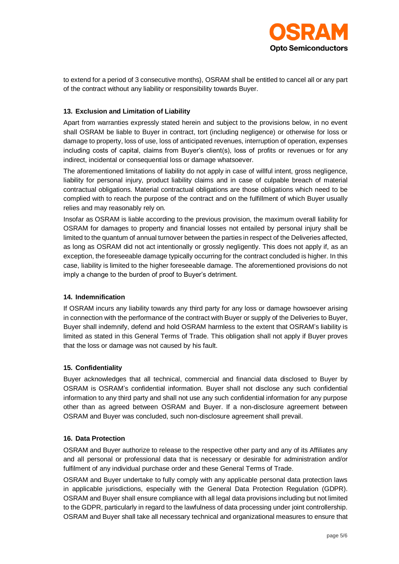

to extend for a period of 3 consecutive months), OSRAM shall be entitled to cancel all or any part of the contract without any liability or responsibility towards Buyer.

### **13. Exclusion and Limitation of Liability**

Apart from warranties expressly stated herein and subject to the provisions below, in no event shall OSRAM be liable to Buyer in contract, tort (including negligence) or otherwise for loss or damage to property, loss of use, loss of anticipated revenues, interruption of operation, expenses including costs of capital, claims from Buyer's client(s), loss of profits or revenues or for any indirect, incidental or consequential loss or damage whatsoever.

The aforementioned limitations of liability do not apply in case of willful intent, gross negligence, liability for personal injury, product liability claims and in case of culpable breach of material contractual obligations. Material contractual obligations are those obligations which need to be complied with to reach the purpose of the contract and on the fulfillment of which Buyer usually relies and may reasonably rely on.

Insofar as OSRAM is liable according to the previous provision, the maximum overall liability for OSRAM for damages to property and financial losses not entailed by personal injury shall be limited to the quantum of annual turnover between the parties in respect of the Deliveries affected, as long as OSRAM did not act intentionally or grossly negligently. This does not apply if, as an exception, the foreseeable damage typically occurring for the contract concluded is higher. In this case, liability is limited to the higher foreseeable damage. The aforementioned provisions do not imply a change to the burden of proof to Buyer's detriment.

#### **14. Indemnification**

If OSRAM incurs any liability towards any third party for any loss or damage howsoever arising in connection with the performance of the contract with Buyer or supply of the Deliveries to Buyer, Buyer shall indemnify, defend and hold OSRAM harmless to the extent that OSRAM's liability is limited as stated in this General Terms of Trade. This obligation shall not apply if Buyer proves that the loss or damage was not caused by his fault.

#### **15. Confidentiality**

Buyer acknowledges that all technical, commercial and financial data disclosed to Buyer by OSRAM is OSRAM's confidential information. Buyer shall not disclose any such confidential information to any third party and shall not use any such confidential information for any purpose other than as agreed between OSRAM and Buyer. If a non-disclosure agreement between OSRAM and Buyer was concluded, such non-disclosure agreement shall prevail.

#### **16. Data Protection**

OSRAM and Buyer authorize to release to the respective other party and any of its Affiliates any and all personal or professional data that is necessary or desirable for administration and/or fulfilment of any individual purchase order and these General Terms of Trade.

OSRAM and Buyer undertake to fully comply with any applicable personal data protection laws in applicable jurisdictions, especially with the General Data Protection Regulation (GDPR). OSRAM and Buyer shall ensure compliance with all legal data provisions including but not limited to the GDPR, particularly in regard to the lawfulness of data processing under joint controllership. OSRAM and Buyer shall take all necessary technical and organizational measures to ensure that